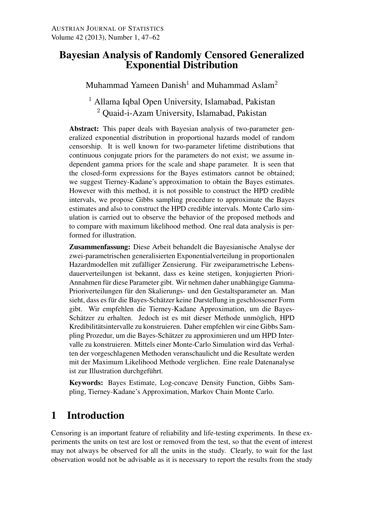### Bayesian Analysis of Randomly Censored Generalized Exponential Distribution

Muhammad Yameen Danish<sup>1</sup> and Muhammad Aslam<sup>2</sup>

<sup>1</sup> Allama Iqbal Open University, Islamabad, Pakistan <sup>2</sup> Quaid-i-Azam University, Islamabad, Pakistan

Abstract: This paper deals with Bayesian analysis of two-parameter generalized exponential distribution in proportional hazards model of random censorship. It is well known for two-parameter lifetime distributions that continuous conjugate priors for the parameters do not exist; we assume independent gamma priors for the scale and shape parameter. It is seen that the closed-form expressions for the Bayes estimators cannot be obtained; we suggest Tierney-Kadane's approximation to obtain the Bayes estimates. However with this method, it is not possible to construct the HPD credible intervals, we propose Gibbs sampling procedure to approximate the Bayes estimates and also to construct the HPD credible intervals. Monte Carlo simulation is carried out to observe the behavior of the proposed methods and to compare with maximum likelihood method. One real data analysis is performed for illustration.

Zusammenfassung: Diese Arbeit behandelt die Bayesianische Analyse der zwei-parametrischen generalisierten Exponentialverteilung in proportionalen Hazardmodellen mit zufälliger Zensierung. Für zweiparametrische Lebensdauerverteilungen ist bekannt, dass es keine stetigen, konjugierten Priori-Annahmen für diese Parameter gibt. Wir nehmen daher unabhängige Gamma-Prioriverteilungen für den Skalierungs- und den Gestaltsparameter an. Man sieht, dass es für die Bayes-Schätzer keine Darstellung in geschlossener Form gibt. Wir empfehlen die Tierney-Kadane Approximation, um die Bayes-Schätzer zu erhalten. Jedoch ist es mit dieser Methode unmöglich, HPD Kredibilitätsintervalle zu konstruieren. Daher empfehlen wir eine Gibbs Sampling Prozedur, um die Bayes-Schatzer zu approximieren und um HPD Inter- ¨ valle zu konstruieren. Mittels einer Monte-Carlo Simulation wird das Verhalten der vorgeschlagenen Methoden veranschaulicht und die Resultate werden mit der Maximum Likelihood Methode verglichen. Eine reale Datenanalyse ist zur Illustration durchgeführt.

Keywords: Bayes Estimate, Log-concave Density Function, Gibbs Sampling, Tierney-Kadane's Approximation, Markov Chain Monte Carlo.

# 1 Introduction

Censoring is an important feature of reliability and life-testing experiments. In these experiments the units on test are lost or removed from the test, so that the event of interest may not always be observed for all the units in the study. Clearly, to wait for the last observation would not be advisable as it is necessary to report the results from the study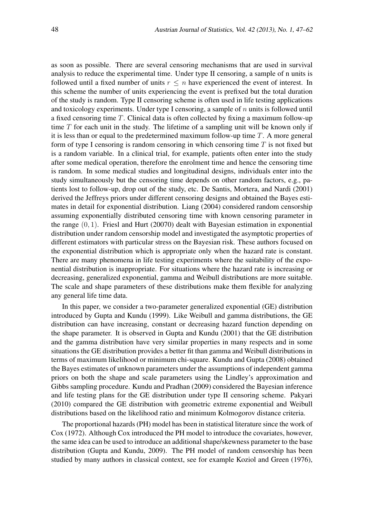as soon as possible. There are several censoring mechanisms that are used in survival analysis to reduce the experimental time. Under type II censoring, a sample of n units is followed until a fixed number of units  $r \leq n$  have experienced the event of interest. In this scheme the number of units experiencing the event is prefixed but the total duration of the study is random. Type II censoring scheme is often used in life testing applications and toxicology experiments. Under type I censoring, a sample of *n* units is followed until a fixed censoring time *T*. Clinical data is often collected by fixing a maximum follow-up time *T* for each unit in the study. The lifetime of a sampling unit will be known only if it is less than or equal to the predetermined maximum follow-up time *T*. A more general form of type I censoring is random censoring in which censoring time *T* is not fixed but is a random variable. In a clinical trial, for example, patients often enter into the study after some medical operation, therefore the enrolment time and hence the censoring time is random. In some medical studies and longitudinal designs, individuals enter into the study simultaneously but the censoring time depends on other random factors, e.g., patients lost to follow-up, drop out of the study, etc. De Santis, Mortera, and Nardi (2001) derived the Jeffreys priors under different censoring designs and obtained the Bayes estimates in detail for exponential distribution. Liang (2004) considered random censorship assuming exponentially distributed censoring time with known censoring parameter in the range (0*,* 1). Friesl and Hurt (20070) dealt with Bayesian estimation in exponential distribution under random censorship model and investigated the asymptotic properties of different estimators with particular stress on the Bayesian risk. These authors focused on the exponential distribution which is appropriate only when the hazard rate is constant. There are many phenomena in life testing experiments where the suitability of the exponential distribution is inappropriate. For situations where the hazard rate is increasing or decreasing, generalized exponential, gamma and Weibull distributions are more suitable. The scale and shape parameters of these distributions make them flexible for analyzing any general life time data.

In this paper, we consider a two-parameter generalized exponential (GE) distribution introduced by Gupta and Kundu (1999). Like Weibull and gamma distributions, the GE distribution can have increasing, constant or decreasing hazard function depending on the shape parameter. It is observed in Gupta and Kundu (2001) that the GE distribution and the gamma distribution have very similar properties in many respects and in some situations the GE distribution provides a better fit than gamma and Weibull distributions in terms of maximum likelihood or minimum chi-square. Kundu and Gupta (2008) obtained the Bayes estimates of unknown parameters under the assumptions of independent gamma priors on both the shape and scale parameters using the Lindley's approximation and Gibbs sampling procedure. Kundu and Pradhan (2009) considered the Bayesian inference and life testing plans for the GE distribution under type II censoring scheme. Pakyari (2010) compared the GE distribution with geometric extreme exponential and Weibull distributions based on the likelihood ratio and minimum Kolmogorov distance criteria.

The proportional hazards (PH) model has been in statistical literature since the work of Cox (1972). Although Cox introduced the PH model to introduce the covariates, however, the same idea can be used to introduce an additional shape/skewness parameter to the base distribution (Gupta and Kundu, 2009). The PH model of random censorship has been studied by many authors in classical context, see for example Koziol and Green (1976),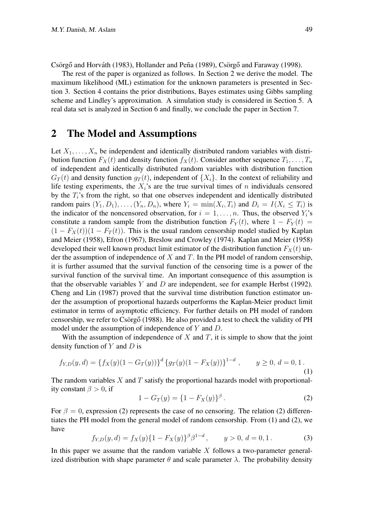Csörgő and Horváth (1983), Hollander and Peña (1989), Csörgő and Faraway (1998).

The rest of the paper is organized as follows. In Section 2 we derive the model. The maximum likelihood (ML) estimation for the unknown parameters is presented in Section 3. Section 4 contains the prior distributions, Bayes estimates using Gibbs sampling scheme and Lindley's approximation. A simulation study is considered in Section 5. A real data set is analyzed in Section 6 and finally, we conclude the paper in Section 7.

#### 2 The Model and Assumptions

Let  $X_1, \ldots, X_n$  be independent and identically distributed random variables with distribution function  $F_X(t)$  and density function  $f_X(t)$ . Consider another sequence  $T_1, \ldots, T_n$ of independent and identically distributed random variables with distribution function  $G_T(t)$  and density function  $q_T(t)$ , independent of  $\{X_i\}$ . In the context of reliability and life testing experiments, the  $X_i$ 's are the true survival times of  $n$  individuals censored by the *Ti*'s from the right, so that one observes independent and identically distributed random pairs  $(Y_1, D_1), \ldots, (Y_n, D_n)$ , where  $Y_i = \min(X_i, T_i)$  and  $D_i = I(X_i \leq T_i)$  is the indicator of the noncensored observation, for  $i = 1, \ldots, n$ . Thus, the observed  $Y_i$ 's constitute a random sample from the distribution function  $F_Y(t)$ , where  $1 - F_Y(t) =$  $(1 - F_X(t))(1 - F_T(t))$ . This is the usual random censorship model studied by Kaplan and Meier (1958), Efron (1967), Breslow and Crowley (1974). Kaplan and Meier (1958) developed their well known product limit estimator of the distribution function  $F_X(t)$  under the assumption of independence of *X* and *T*. In the PH model of random censorship, it is further assumed that the survival function of the censoring time is a power of the survival function of the survival time. An important consequence of this assumption is that the observable variables *Y* and *D* are independent, see for example Herbst (1992). Cheng and Lin (1987) proved that the survival time distribution function estimator under the assumption of proportional hazards outperforms the Kaplan-Meier product limit estimator in terms of asymptotic efficiency. For further details on PH model of random censorship, we refer to Csörgő  $(1988)$ . He also provided a test to check the validity of PH model under the assumption of independence of *Y* and *D*.

With the assumption of independence of  $X$  and  $T$ , it is simple to show that the joint density function of *Y* and *D* is

$$
f_{Y,D}(y,d) = \{ f_X(y)(1 - G_T(y)) \}^d \{ g_T(y)(1 - F_X(y)) \}^{1-d} , \qquad y \ge 0, d = 0, 1.
$$
\n(1)

The random variables *X* and *T* satisfy the proportional hazards model with proportionality constant  $\beta > 0$ , if

$$
1 - G_T(y) = \{1 - F_X(y)\}^{\beta}.
$$
 (2)

For  $\beta = 0$ , expression (2) represents the case of no censoring. The relation (2) differentiates the PH model from the general model of random censorship. From (1) and (2), we have

$$
f_{Y,D}(y,d) = f_X(y)\{1 - F_X(y)\}^{\beta} \beta^{1-d}, \qquad y > 0, d = 0, 1.
$$
 (3)

In this paper we assume that the random variable *X* follows a two-parameter generalized distribution with shape parameter  $\theta$  and scale parameter  $\lambda$ . The probability density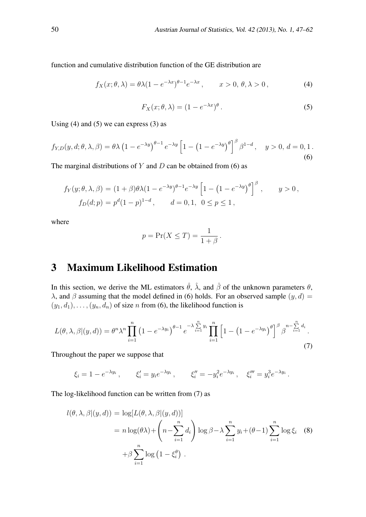function and cumulative distribution function of the GE distribution are

$$
f_X(x; \theta, \lambda) = \theta \lambda (1 - e^{-\lambda x})^{\theta - 1} e^{-\lambda x}, \qquad x > 0, \, \theta, \lambda > 0,
$$
 (4)

$$
F_X(x; \theta, \lambda) = (1 - e^{-\lambda x})^{\theta}.
$$
 (5)

Using  $(4)$  and  $(5)$  we can express  $(3)$  as

$$
f_{Y,D}(y,d;\theta,\lambda,\beta) = \theta\lambda \left(1 - e^{-\lambda y}\right)^{\theta-1} e^{-\lambda y} \left[1 - \left(1 - e^{-\lambda y}\right)^{\theta}\right]^{\beta} \beta^{1-d}, \quad y > 0, d = 0, 1.
$$
\n
$$
(6)
$$

The marginal distributions of *Y* and *D* can be obtained from (6) as

$$
f_Y(y; \theta, \lambda, \beta) = (1 + \beta)\theta\lambda(1 - e^{-\lambda y})^{\theta - 1}e^{-\lambda y} \left[1 - (1 - e^{-\lambda y})^{\theta}\right]^{\beta}, \qquad y > 0,
$$
  

$$
f_D(d; p) = p^d(1 - p)^{1 - d}, \qquad d = 0, 1, \ 0 \le p \le 1,
$$

where

$$
p = \Pr(X \leq T) = \frac{1}{1 + \beta}.
$$

## 3 Maximum Likelihood Estimation

In this section, we derive the ML estimators  $\hat{\theta}$ ,  $\hat{\lambda}$ , and  $\hat{\beta}$  of the unknown parameters  $\theta$ , *λ*, and *β* assuming that the model defined in (6) holds. For an observed sample  $(y, d)$  =  $(y_1, d_1), \ldots, (y_n, d_n)$  of size *n* from (6), the likelihood function is

$$
L(\theta, \lambda, \beta | (y, d)) = \theta^n \lambda^n \prod_{i=1}^n \left(1 - e^{-\lambda y_i}\right)^{\theta - 1} e^{-\lambda \sum_{i=1}^n y_i} \prod_{i=1}^n \left[1 - \left(1 - e^{-\lambda y_i}\right)^{\theta}\right]^{\beta} \beta^{n - \sum_{i=1}^n d_i}.
$$
\n(7)

Throughout the paper we suppose that

$$
\xi_i = 1 - e^{-\lambda y_i}, \qquad \xi'_i = y_i e^{-\lambda y_i}, \qquad \xi''_i = -y_i^2 e^{-\lambda y_i}, \quad \xi'''_i = y_i^3 e^{-\lambda y_i}.
$$

The log-likelihood function can be written from (7) as

$$
l(\theta, \lambda, \beta | (y, d)) = \log[L(\theta, \lambda, \beta | (y, d))]
$$
  
=  $n \log(\theta \lambda) + \left(n - \sum_{i=1}^{n} d_i\right) \log \beta - \lambda \sum_{i=1}^{n} y_i + (\theta - 1) \sum_{i=1}^{n} \log \xi_i$  (8)  
+ $\beta \sum_{i=1}^{n} \log (1 - \xi_i^{\theta}).$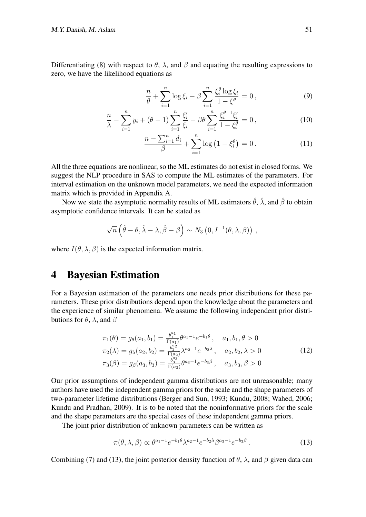Differentiating (8) with respect to  $\theta$ ,  $\lambda$ , and  $\beta$  and equating the resulting expressions to zero, we have the likelihood equations as

$$
\frac{n}{\theta} + \sum_{i=1}^{n} \log \xi_i - \beta \sum_{i=1}^{n} \frac{\xi_i^{\theta} \log \xi_i}{1 - \xi^{\theta}} = 0, \qquad (9)
$$

$$
\frac{n}{\lambda} - \sum_{i=1}^{n} y_i + (\theta - 1) \sum_{i=1}^{n} \frac{\xi_i'}{\xi_i} - \beta \theta \sum_{i=1}^{n} \frac{\xi_i^{\theta - 1} \xi_i'}{1 - \xi_i^{\theta}} = 0, \qquad (10)
$$

$$
\frac{n - \sum_{i=1}^{n} d_i}{\beta} + \sum_{i=1}^{n} \log (1 - \xi_i^{\theta}) = 0.
$$
 (11)

All the three equations are nonlinear, so the ML estimates do not exist in closed forms. We suggest the NLP procedure in SAS to compute the ML estimates of the parameters. For interval estimation on the unknown model parameters, we need the expected information matrix which is provided in Appendix A.

Now we state the asymptotic normality results of ML estimators  $\hat{\theta}$ ,  $\hat{\lambda}$ , and  $\hat{\beta}$  to obtain asymptotic confidence intervals. It can be stated as

$$
\sqrt{n}\left(\hat{\theta}-\theta,\hat{\lambda}-\lambda,\hat{\beta}-\beta\right)\sim N_3\left(0,I^{-1}(\theta,\lambda,\beta)\right),
$$

where  $I(\theta, \lambda, \beta)$  is the expected information matrix.

#### 4 Bayesian Estimation

For a Bayesian estimation of the parameters one needs prior distributions for these parameters. These prior distributions depend upon the knowledge about the parameters and the experience of similar phenomena. We assume the following independent prior distributions for *θ*, *λ*, and *β*

$$
\pi_1(\theta) = g_{\theta}(a_1, b_1) = \frac{b_1^{a_1}}{\Gamma(a_1)} \theta^{a_1 - 1} e^{-b_1 \theta}, \quad a_1, b_1, \theta > 0
$$
  
\n
$$
\pi_2(\lambda) = g_{\lambda}(a_2, b_2) = \frac{b_2^{a_2}}{\Gamma(a_2)} \lambda^{a_2 - 1} e^{-b_2 \lambda}, \quad a_2, b_2, \lambda > 0
$$
  
\n
$$
\pi_3(\beta) = g_{\beta}(a_3, b_3) = \frac{b_3^{a_3}}{\Gamma(a_3)} \theta^{a_3 - 1} e^{-b_3 \beta}, \quad a_3, b_3, \beta > 0
$$
\n(12)

Our prior assumptions of independent gamma distributions are not unreasonable; many authors have used the independent gamma priors for the scale and the shape parameters of two-parameter lifetime distributions (Berger and Sun, 1993; Kundu, 2008; Wahed, 2006; Kundu and Pradhan, 2009). It is to be noted that the noninformative priors for the scale and the shape parameters are the special cases of these independent gamma priors.

The joint prior distribution of unknown parameters can be written as

$$
\pi(\theta,\lambda,\beta) \propto \theta^{a_1-1} e^{-b_1 \theta} \lambda^{a_2-1} e^{-b_2 \lambda} \beta^{a_3-1} e^{-b_3 \beta}.
$$
 (13)

Combining (7) and (13), the joint posterior density function of  $\theta$ ,  $\lambda$ , and  $\beta$  given data can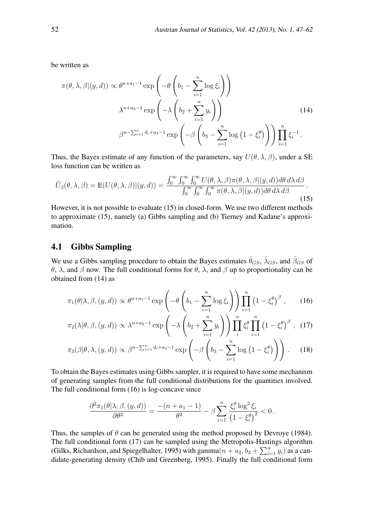be written as

$$
\pi(\theta, \lambda, \beta | (y, d)) \propto \theta^{n+a_1-1} \exp\left(-\theta \left(b_1 - \sum_{i=1}^n \log \xi_i\right)\right)
$$

$$
\lambda^{n+a_2-1} \exp\left(-\lambda \left(b_2 + \sum_{i=1}^n y_i\right)\right)
$$

$$
\beta^{n-\sum_{i=1}^n d_i+a_3-1} \exp\left(-\beta \left(b_3 - \sum_{i=1}^n \log\left(1 - \xi_i^{\theta}\right)\right)\right) \prod_{i=1}^n \xi_i^{-1}.
$$
\n(14)

Thus, the Bayes estimate of any function of the parameters, say  $U(\theta, \lambda, \beta)$ , under a SE loss function can be written as

$$
\hat{U}_{\beta}(\theta,\lambda,\beta) = \mathbf{E}(U(\theta,\lambda,\beta)|(y,d)) = \frac{\int_0^\infty \int_0^\infty \int_0^\infty U(\theta,\lambda,\beta)\pi(\theta,\lambda,\beta|(y,d))d\theta \,d\lambda \,d\beta}{\int_0^\infty \int_0^\infty \int_0^\infty \int_0^\infty \pi(\theta,\lambda,\beta|(y,d))d\theta \,d\lambda \,d\beta}.
$$
\n(15)

However, it is not possible to evaluate (15) in closed-form. We use two different methods to approximate (15), namely (a) Gibbs sampling and (b) Tierney and Kadane's approximation.

#### 4.1 Gibbs Sampling

We use a Gibbs sampling procedure to obtain the Bayes estimates  $\hat{\theta}_{GS}$ ,  $\hat{\lambda}_{GS}$ , and  $\hat{\beta}_{GS}$  of *θ*, *λ*, and *β* now. The full conditional forms for *θ*, *λ*, and *β* up to proportionality can be obtained from (14) as

$$
\pi_1(\theta|\lambda,\beta,(y,d)) \propto \theta^{n+a_1-1} \exp\left(-\theta \left(b_1 - \sum_{i=1}^n \log \xi_i\right)\right) \prod_{i=1}^n \left(1 - \xi_i^{\theta}\right)^{\beta},\qquad(16)
$$

$$
\pi_2(\lambda|\theta,\beta,(y,d)) \propto \lambda^{n+a_2-1} \exp\left(-\lambda \left(b_2 + \sum_{i=1}^n y_i\right)\right) \prod_i^n \xi_i^\theta \prod_{i=1}^n \left(1 - \xi_i^\theta\right)^\beta , \quad (17)
$$

$$
\pi_3(\beta|\theta,\lambda,(y,d)) \propto \beta^{n-\sum_{i=1}^n d_i+a_3-1} \exp\left(-\beta\left(b_3-\sum_{i=1}^n \log\left(1-\xi_i^{\theta}\right)\right)\right). \tag{18}
$$

To obtain the Bayes estimates using Gibbs sampler, it is required to have some mechanism of generating samples from the full conditional distributions for the quantities involved. The full conditional form (16) is log-concave since

$$
\frac{\partial^2 \pi_1(\theta | \lambda, \beta, (y,d))}{\partial \theta^2} = \frac{-(n+a_1-1)}{\theta^2} - \beta \sum_{i=1}^n \frac{\xi_i^\theta \log^2 \xi_i}{\left(1-\xi_i^\theta\right)^2} < 0 \,.
$$

Thus, the samples of *θ* can be generated using the method proposed by Devroye (1984). The full conditional form (17) can be sampled using the Metropolis-Hastings algorithm (Gilks, Richardson, and Spiegelhalter, 1995) with gamma $(n + a_2, b_2 + \sum_{i=1}^{n} y_i)$  as a candidate-generating density (Chib and Greenberg, 1995). Finally the full conditional form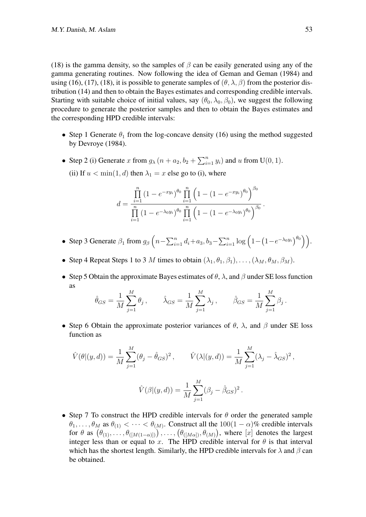(18) is the gamma density, so the samples of *β* can be easily generated using any of the gamma generating routines. Now following the idea of Geman and Geman (1984) and using (16), (17), (18), it is possible to generate samples of  $(\theta, \lambda, \beta)$  from the posterior distribution (14) and then to obtain the Bayes estimates and corresponding credible intervals. Starting with suitable choice of initial values, say  $(\theta_0, \lambda_0, \beta_0)$ , we suggest the following procedure to generate the posterior samples and then to obtain the Bayes estimates and the corresponding HPD credible intervals:

- Step 1 Generate  $\theta_1$  from the log-concave density (16) using the method suggested by Devroye (1984).
- Step 2 (i) Generate *x* from  $g_{\lambda}$   $(n + a_2, b_2 + \sum_{i=1}^n y_i)$  and *u* from U(0, 1). (ii) If  $u < \min(1, d)$  then  $\lambda_1 = x$  else go to (i), where

$$
d = \frac{\prod_{i=1}^{n} (1 - e^{-xy_i})^{\theta_0} \prod_{i=1}^{n} (1 - (1 - e^{-xy_i})^{\theta_0})^{\beta_0}}{\prod_{i=1}^{n} (1 - e^{-\lambda_0 y_i})^{\theta_0} \prod_{i=1}^{n} (1 - (1 - e^{-\lambda_0 y_i})^{\theta_0})^{\beta_0}}.
$$

- Step 3 Generate  $\beta_1$  from  $g_\beta\left(n-\sum_{i=1}^n d_i + a_3, b_3 \sum_{i=1}^n \log\left(1-\left(1-e^{-\lambda_0 y_i}\right)^{\theta_0}\right)\right)$ .
- Step 4 Repeat Steps 1 to 3 *M* times to obtain  $(\lambda_1, \theta_1, \beta_1), \ldots, (\lambda_M, \theta_M, \beta_M)$ .
- *•* Step 5 Obtain the approximate Bayes estimates of *θ*, *λ*, and *β* under SE loss function as

$$
\hat{\theta}_{GS} = \frac{1}{M} \sum_{j=1}^{M} \theta_j
$$
,  $\hat{\lambda}_{GS} = \frac{1}{M} \sum_{j=1}^{M} \lambda_j$ ,  $\hat{\beta}_{GS} = \frac{1}{M} \sum_{j=1}^{M} \beta_j$ .

*•* Step 6 Obtain the approximate posterior variances of *θ*, *λ*, and *β* under SE loss function as

$$
\hat{V}(\theta|(y, d)) = \frac{1}{M} \sum_{j=1}^{M} (\theta_j - \hat{\theta}_{GS})^2, \qquad \hat{V}(\lambda|(y, d)) = \frac{1}{M} \sum_{j=1}^{M} (\lambda_j - \hat{\lambda}_{GS})^2,
$$

$$
\hat{V}(\beta|(y, d)) = \frac{1}{M} \sum_{j=1}^{M} (\beta_j - \hat{\beta}_{GS})^2.
$$

*•* Step 7 To construct the HPD credible intervals for *θ* order the generated sample  $\theta_1, \ldots, \theta_M$  as  $\theta_{(1)} < \cdots < \theta_{(M)}$ . Construct all the 100(1 –  $\alpha$ )% credible intervals for  $\theta$  as  $(\theta_{(1)}, \ldots, \theta_{([M(1-\alpha)])})$ , ...,  $(\theta_{([M\alpha])}, \theta_{(M)})$ , where [*x*] denotes the largest integer less than or equal to *x*. The HPD credible interval for  $\theta$  is that interval which has the shortest length. Similarly, the HPD credible intervals for  $\lambda$  and  $\beta$  can be obtained.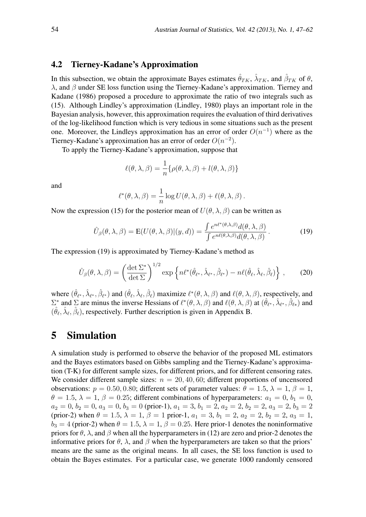#### 4.2 Tierney-Kadane's Approximation

In this subsection, we obtain the approximate Bayes estimates  $\hat{\theta}_{TK}$ ,  $\hat{\lambda}_{TK}$ , and  $\hat{\beta}_{TK}$  of  $\theta$ , *λ*, and *β* under SE loss function using the Tierney-Kadane's approximation. Tierney and Kadane (1986) proposed a procedure to approximate the ratio of two integrals such as (15). Although Lindley's approximation (Lindley, 1980) plays an important role in the Bayesian analysis, however, this approximation requires the evaluation of third derivatives of the log-likelihood function which is very tedious in some situations such as the present one. Moreover, the Lindleys approximation has an error of order *O*(*n −*1 ) where as the Tierney-Kadane's approximation has an error of order *O*(*n −*2 ).

To apply the Tierney-Kadane's approximation, suppose that

$$
\ell(\theta, \lambda, \beta) = \frac{1}{n} \{ \rho(\theta, \lambda, \beta) + l(\theta, \lambda, \beta) \}
$$

and

$$
\ell^*(\theta, \lambda, \beta) = \frac{1}{n} \log U(\theta, \lambda, \beta) + \ell(\theta, \lambda, \beta).
$$

Now the expression (15) for the posterior mean of  $U(\theta, \lambda, \beta)$  can be written as

$$
\hat{U}_{\beta}(\theta,\lambda,\beta) = \mathbf{E}(U(\theta,\lambda,\beta)|(y,d)) = \frac{\int e^{n\ell^*(\theta,\lambda,\beta)}d(\theta,\lambda,\beta)}{\int e^{n\ell(\theta,\lambda,\beta)}d(\theta,\lambda,\beta)}.
$$
\n(19)

The expression (19) is approximated by Tierney-Kadane's method as

$$
\hat{U}_{\beta}(\theta,\lambda,\beta) = \left(\frac{\det \Sigma^*}{\det \Sigma}\right)^{1/2} \exp\left\{n\ell^*(\hat{\theta}_{\ell^*},\hat{\lambda}_{\ell^*},\hat{\beta}_{\ell^*}) - n\ell(\hat{\theta}_{\ell},\hat{\lambda}_{\ell},\hat{\beta}_{\ell})\right\},\qquad(20)
$$

where  $(\hat{\theta}_{\ell^*}, \hat{\lambda}_{\ell^*}, \hat{\beta}_{\ell^*})$  and  $(\hat{\theta}_{\ell}, \hat{\lambda}_{\ell}, \hat{\beta}_{\ell})$  maximize  $\ell^*(\theta, \lambda, \beta)$  and  $\ell(\theta, \lambda, \beta)$ , respectively, and  $\Sigma^*$  and  $\Sigma$  are minus the inverse Hessians of  $\ell^*(\theta, \lambda, \beta)$  and  $\ell(\theta, \lambda, \beta)$  at  $(\hat{\theta}_{\ell^*}, \hat{\lambda}_{\ell^*}, \hat{\beta}_{\ell^*})$  and  $(\hat{\theta}_{\ell}, \hat{\lambda}_{\ell}, \hat{\beta}_{\ell})$ , respectively. Further description is given in Appendix B.

### 5 Simulation

A simulation study is performed to observe the behavior of the proposed ML estimators and the Bayes estimators based on Gibbs sampling and the Tierney-Kadane's approximation (T-K) for different sample sizes, for different priors, and for different censoring rates. We consider different sample sizes:  $n = 20, 40, 60$ ; different proportions of uncensored observations:  $p = 0.50, 0.80$ ; different sets of parameter values:  $\theta = 1.5, \lambda = 1, \beta = 1$ ,  $\theta = 1.5$ ,  $\lambda = 1$ ,  $\beta = 0.25$ ; different combinations of hyperparameters:  $a_1 = 0$ ,  $b_1 = 0$ ,  $a_2 = 0, b_2 = 0, a_3 = 0, b_3 = 0$  (prior-1),  $a_1 = 3, b_1 = 2, a_2 = 2, b_2 = 2, a_3 = 2, b_3 = 2$ (prior-2) when  $\theta = 1.5$ ,  $\lambda = 1$ ,  $\beta = 1$  prior-1,  $a_1 = 3$ ,  $b_1 = 2$ ,  $a_2 = 2$ ,  $b_2 = 2$ ,  $a_3 = 1$ ,  $b_3 = 4$  (prior-2) when  $\theta = 1.5$ ,  $\lambda = 1$ ,  $\beta = 0.25$ . Here prior-1 denotes the noninformative priors for  $\theta$ ,  $\lambda$ , and  $\beta$  when all the hyperparameters in (12) are zero and prior-2 denotes the informative priors for  $\theta$ ,  $\lambda$ , and  $\beta$  when the hyperparameters are taken so that the priors' means are the same as the original means. In all cases, the SE loss function is used to obtain the Bayes estimates. For a particular case, we generate 1000 randomly censored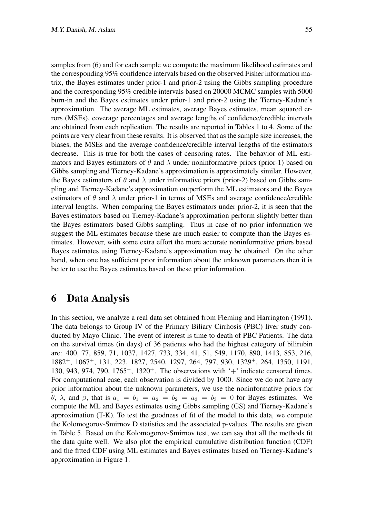samples from (6) and for each sample we compute the maximum likelihood estimates and the corresponding 95% confidence intervals based on the observed Fisher information matrix, the Bayes estimates under prior-1 and prior-2 using the Gibbs sampling procedure and the corresponding 95% credible intervals based on 20000 MCMC samples with 5000 burn-in and the Bayes estimates under prior-1 and prior-2 using the Tierney-Kadane's approximation. The average ML estimates, average Bayes estimates, mean squared errors (MSEs), coverage percentages and average lengths of confidence/credible intervals are obtained from each replication. The results are reported in Tables 1 to 4. Some of the points are very clear from these results. It is observed that as the sample size increases, the biases, the MSEs and the average confidence/credible interval lengths of the estimators decrease. This is true for both the cases of censoring rates. The behavior of ML estimators and Bayes estimators of  $\theta$  and  $\lambda$  under noninformative priors (prior-1) based on Gibbs sampling and Tierney-Kadane's approximation is approximately similar. However, the Bayes estimators of  $\theta$  and  $\lambda$  under informative priors (prior-2) based on Gibbs sampling and Tierney-Kadane's approximation outperform the ML estimators and the Bayes estimators of  $\theta$  and  $\lambda$  under prior-1 in terms of MSEs and average confidence/credible interval lengths. When comparing the Bayes estimators under prior-2, it is seen that the Bayes estimators based on Tierney-Kadane's approximation perform slightly better than the Bayes estimators based Gibbs sampling. Thus in case of no prior information we suggest the ML estimates because these are much easier to compute than the Bayes estimates. However, with some extra effort the more accurate noninformative priors based Bayes estimates using Tierney-Kadane's approximation may be obtained. On the other hand, when one has sufficient prior information about the unknown parameters then it is better to use the Bayes estimates based on these prior information.

#### 6 Data Analysis

In this section, we analyze a real data set obtained from Fleming and Harrington (1991). The data belongs to Group IV of the Primary Biliary Cirrhosis (PBC) liver study conducted by Mayo Clinic. The event of interest is time to death of PBC Patients. The data on the survival times (in days) of 36 patients who had the highest category of bilirubin are: 400, 77, 859, 71, 1037, 1427, 733, 334, 41, 51, 549, 1170, 890, 1413, 853, 216, 1882<sup>+</sup>, 1067<sup>+</sup>, 131, 223, 1827, 2540, 1297, 264, 797, 930, 1329<sup>+</sup>, 264, 1350, 1191, 130, 943, 974, 790, 1765<sup>+</sup>, 1320<sup>+</sup>. The observations with  $+$  indicate censored times. For computational ease, each observation is divided by 1000. Since we do not have any prior information about the unknown parameters, we use the noninformative priors for *θ*,  $λ$ , and  $β$ , that is  $a_1 = b_1 = a_2 = b_2 = a_3 = b_3 = 0$  for Bayes estimates. We compute the ML and Bayes estimates using Gibbs sampling (GS) and Tierney-Kadane's approximation (T-K). To test the goodness of fit of the model to this data, we compute the Kolomogorov-Smirnov D statistics and the associated p-values. The results are given in Table 5. Based on the Kolomogorov-Smirnov test, we can say that all the methods fit the data quite well. We also plot the empirical cumulative distribution function (CDF) and the fitted CDF using ML estimates and Bayes estimates based on Tierney-Kadane's approximation in Figure 1.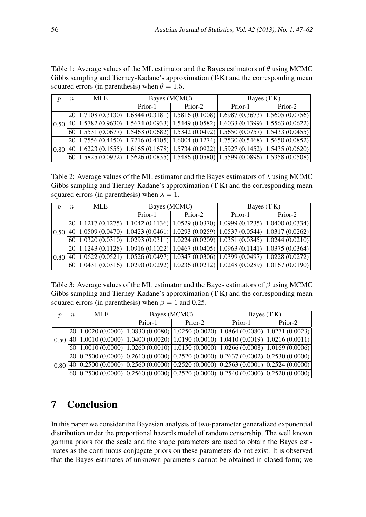Table 1: Average values of the ML estimator and the Bayes estimators of *θ* using MCMC Gibbs sampling and Tierney-Kadane's approximation (T-K) and the corresponding mean squared errors (in parenthesis) when  $\theta = 1.5$ .

| $\boldsymbol{\eta}$ | $n_{\rm c}$ | MLE |         | Bayes (MCMC) | Bayes (T-K) |                                                                                                                                                                                                                                                   |  |
|---------------------|-------------|-----|---------|--------------|-------------|---------------------------------------------------------------------------------------------------------------------------------------------------------------------------------------------------------------------------------------------------|--|
|                     |             |     | Prior-1 | Prior-2      | Prior-1     | Prior-2                                                                                                                                                                                                                                           |  |
| 0.50                |             |     |         |              |             | $20 1.7108(0.3130) 1.6844(0.3181) 1.5816(0.1008) 1.6987(0.3673) 1.5605(0.0756) $                                                                                                                                                                  |  |
|                     |             |     |         |              |             | $\left  \frac{40}{1.5782} \left(0.9630\right) \right  1.5674 \left(0.0933\right) \left  1.5449 \left(0.0582\right) \right  1.6033 \left(0.1399\right) \left  1.5563 \left(0.0622\right) \right $                                                  |  |
|                     |             |     |         |              |             | $\boxed{60}$ 1.5531 (0.0677) 1.5463 (0.0682) 1.5342 (0.0492) 1.5650 (0.0757) 1.5433 (0.0455)                                                                                                                                                      |  |
| 0.80                |             |     |         |              |             | $20 1.7556(0.4450) 1.7216(0.4105) 1.6004(0.1274) 1.7530(0.5468) 1.5650(0.0852) $                                                                                                                                                                  |  |
|                     |             |     |         |              |             | $40 1.6223(0.1555) 1.6165(0.1678) 1.5734(0.0922) 1.5927(0.1452) 1.5435(0.0620) $                                                                                                                                                                  |  |
|                     |             |     |         |              |             | $\frac{1.5825 (0.0972) 1.5626 (0.0835) 1.5486 (0.0580) 1.5599 (0.0896) 1.5358 (0.0508)}{1.5825 (0.0972) 1.5626 (0.0835) 1.5486 (0.0580) 1.5599 (0.0896) 1.5358 (0.0508) 1.5626 (0.0972) 1.5626 (0.0835) 1.5486 (0.0580) 1.5599 (0.0896) 1.5358 ($ |  |

Table 2: Average values of the ML estimator and the Bayes estimators of  $\lambda$  using MCMC Gibbs sampling and Tierney-Kadane's approximation (T-K) and the corresponding mean squared errors (in parenthesis) when  $\lambda = 1$ .

| $\boldsymbol{\eta}$ | $\,n$ | <b>MLE</b> |         | Bayes (MCMC) | Bayes (T-K)                                                                                                                                                       |         |  |
|---------------------|-------|------------|---------|--------------|-------------------------------------------------------------------------------------------------------------------------------------------------------------------|---------|--|
|                     |       |            | Prior-1 | Prior-2      | Prior-1                                                                                                                                                           | Prior-2 |  |
| 0.50                |       |            |         |              | $20 1.1217(0.1275) 1.1042(0.1136) 1.0529(0.0370) 1.0999(0.1235) 1.0400(0.0334) $                                                                                  |         |  |
|                     |       |            |         |              | $\overline{140}$ $\overline{1.0509}$ (0.0470) $\overline{1.0423}$ (0.0461) $\overline{1.0293}$ (0.0259) $\overline{1.0537}$ (0.0544) $\overline{1.0317}$ (0.0262) |         |  |
|                     |       |            |         |              | $\boxed{60}$ 1.0320 (0.0310) 1.0293 (0.0311) 1.0224 (0.0209) 1.0351 (0.0345) 1.0244 (0.0210)                                                                      |         |  |
| 0.80                |       |            |         |              | $20 1.1243(0.1128) 1.0916(0.1022) 1.0467(0.0405) 1.0963(0.1141) 1.0375(0.0364) $                                                                                  |         |  |
|                     |       |            |         |              | $40 1.0622(0.0521) 1.0526(0.0497) 1.0347(0.0306) 1.0399(0.0497) 1.0228(0.0272) $                                                                                  |         |  |
|                     |       |            |         |              | $\frac{60}{1.0431}$ (0.0316) 1.0290 (0.0292) 1.0236 (0.0212) 1.0248 (0.0289) 1.0167 (0.0190)                                                                      |         |  |

Table 3: Average values of the ML estimator and the Bayes estimators of *β* using MCMC Gibbs sampling and Tierney-Kadane's approximation (T-K) and the corresponding mean squared errors (in parenthesis) when  $\beta = 1$  and 0.25.

| ŋ    | $n_{\rm c}$ | MLE. |         | Bayes (MCMC) | Bayes (T-K)                                                                                                                                                                                                                                   |         |  |
|------|-------------|------|---------|--------------|-----------------------------------------------------------------------------------------------------------------------------------------------------------------------------------------------------------------------------------------------|---------|--|
|      |             |      | Prior-1 | Prior-2      | Prior-1                                                                                                                                                                                                                                       | Prior-2 |  |
| 0.50 |             |      |         |              | $20 1.0020(0.0000) 1.0830(0.0080) 1.0250(0.0020) 1.0864(0.0080) 1.0271(0.0023) $                                                                                                                                                              |         |  |
|      |             |      |         |              | $\overline{140}$ $\overline{1.0010}$ (0.0000) $\overline{1.0400}$ (0.0020) $\overline{1.0190}$ (0.0010) $\overline{1.0410}$ (0.0019) $\overline{1.0216}$ (0.0011)                                                                             |         |  |
|      |             |      |         |              | $\frac{60}{1.0010}$ (0.0000) 1.0260 (0.0010) 1.0150 (0.0000) 1.0266 (0.0008) 1.0169 (0.0006)                                                                                                                                                  |         |  |
| 0.80 |             |      |         |              | $20 0.2500(0.0000) 0.2610(0.0000) 0.2520(0.0000) 0.2637(0.0002) 0.2530(0.0000) 0.2630(0.0000) 0.2630(0.0000) 0.2630(0.0000) 0.2630(0.0000) 0.2630(0.0000) 0.2610(0.0000) 0.2520(0.0000) 0.2637(0.0002) 0.2530(0.0000) 0.2610(0.0000) 0.2520($ |         |  |
|      |             |      |         |              | $40\, 0.2500\,(0.0000)\, 0.2560\,(0.0000)\, 0.2520\,(0.0000)\, 0.2563\,(0.0001)\, 0.2524\,(0.0000)\, 0.2500\, 0.0000\rangle$                                                                                                                  |         |  |
|      |             |      |         |              | $\boxed{60}$ 0.2500 (0.0000) 0.2560 (0.0000) 0.2520 (0.0000) 0.2540 (0.0000) 0.2520 (0.0000)                                                                                                                                                  |         |  |

## 7 Conclusion

In this paper we consider the Bayesian analysis of two-parameter generalized exponential distribution under the proportional hazards model of random censorship. The well known gamma priors for the scale and the shape parameters are used to obtain the Bayes estimates as the continuous conjugate priors on these parameters do not exist. It is observed that the Bayes estimates of unknown parameters cannot be obtained in closed form; we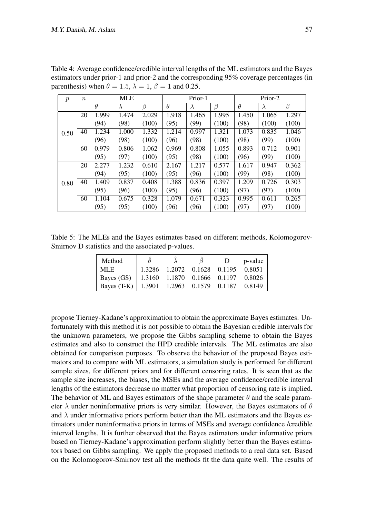| $\boldsymbol{p}$ | $\boldsymbol{n}$ | <b>MLE</b> |           | Prior-1 |          |           | Prior-2 |          |           |       |
|------------------|------------------|------------|-----------|---------|----------|-----------|---------|----------|-----------|-------|
|                  |                  | $\theta$   | $\lambda$ | $\beta$ | $\theta$ | $\lambda$ | β       | $\theta$ | $\lambda$ | β     |
|                  | 20               | 1.999      | 1.474     | 2.029   | 1.918    | 1.465     | 1.995   | 1.450    | 1.065     | 1.297 |
|                  |                  | (94)       | (98)      | (100)   | (95)     | (99)      | (100)   | (98)     | (100)     | (100) |
| 0.50             | 40               | 1.234      | 1.000     | 1.332   | 1.214    | 0.997     | 1.321   | 1.073    | 0.835     | 1.046 |
|                  |                  | 96)        | (98)      | (100)   | (96)     | (98)      | (100)   | (98)     | (99)      | (100) |
|                  | 60               | 0.979      | 0.806     | 1.062   | 0.969    | 0.808     | 1.055   | 0.893    | 0.712     | 0.901 |
|                  |                  | (95)       | (97)      | (100)   | (95)     | (98)      | (100)   | (96)     | (99)      | (100) |
|                  | 20               | 2.277      | 1.232     | 0.610   | 2.167    | 1.217     | 0.577   | 1.617    | 0.947     | 0.362 |
|                  |                  | (94)       | (95)      | (100)   | (95)     | (96)      | (100)   | (99)     | (98)      | (100) |
| 0.80             | 40               | 1.409      | 0.837     | 0.408   | 1.388    | 0.836     | 0.397   | 1.209    | 0.726     | 0.303 |
|                  |                  | (95)       | (96)      | (100)   | (95)     | (96)      | (100)   | (97)     | (97)      | (100) |
|                  | 60               | 1.104      | 0.675     | 0.328   | 1.079    | 0.671     | 0.323   | 0.995    | 0.611     | 0.265 |
|                  |                  | (95)       | (95)      | (100)   | (96)     | (96)      | (100)   | (97)     | (97)      | (100) |

Table 4: Average confidence/credible interval lengths of the ML estimators and the Bayes estimators under prior-1 and prior-2 and the corresponding 95% coverage percentages (in parenthesis) when  $\theta = 1.5$ ,  $\lambda = 1$ ,  $\beta = 1$  and 0.25.

Table 5: The MLEs and the Bayes estimates based on different methods, Kolomogorov-Smirnov D statistics and the associated p-values.

| Method                                           | $\theta$ |                             | - D -                              | p-value |
|--------------------------------------------------|----------|-----------------------------|------------------------------------|---------|
| MLE.                                             |          | 1.3286 1.2072 0.1628 0.1195 |                                    | 0.8051  |
| Bayes (GS)                                       |          |                             | 1.3160 1.1870 0.1666 0.1197 0.8026 |         |
| Bayes (T-K)   1.3901 1.2963 0.1579 0.1187 0.8149 |          |                             |                                    |         |

propose Tierney-Kadane's approximation to obtain the approximate Bayes estimates. Unfortunately with this method it is not possible to obtain the Bayesian credible intervals for the unknown parameters, we propose the Gibbs sampling scheme to obtain the Bayes estimates and also to construct the HPD credible intervals. The ML estimates are also obtained for comparison purposes. To observe the behavior of the proposed Bayes estimators and to compare with ML estimators, a simulation study is performed for different sample sizes, for different priors and for different censoring rates. It is seen that as the sample size increases, the biases, the MSEs and the average confidence/credible interval lengths of the estimators decrease no matter what proportion of censoring rate is implied. The behavior of ML and Bayes estimators of the shape parameter  $\theta$  and the scale parameter *λ* under noninformative priors is very similar. However, the Bayes estimators of *θ* and  $\lambda$  under informative priors perform better than the ML estimators and the Bayes estimators under noninformative priors in terms of MSEs and average confidence /credible interval lengths. It is further observed that the Bayes estimators under informative priors based on Tierney-Kadane's approximation perform slightly better than the Bayes estimators based on Gibbs sampling. We apply the proposed methods to a real data set. Based on the Kolomogorov-Smirnov test all the methods fit the data quite well. The results of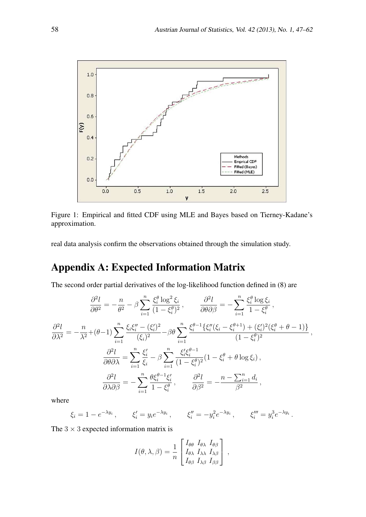

Figure 1: Empirical and fitted CDF using MLE and Bayes based on Tierney-Kadane's approximation.

real data analysis confirm the observations obtained through the simulation study.

# Appendix A: Expected Information Matrix

The second order partial derivatives of the log-likelihood function defined in (8) are

$$
\frac{\partial^2 l}{\partial \theta^2} = -\frac{n}{\theta^2} - \beta \sum_{i=1}^n \frac{\xi_i^{\theta} \log^2 \xi_i}{(1 - \xi_i^{\theta})^2}, \qquad \frac{\partial^2 l}{\partial \theta \partial \beta} = -\sum_{i=1}^n \frac{\xi_i^{\theta} \log \xi_i}{1 - \xi_i^{\theta}},
$$

$$
\frac{\partial^2 l}{\partial \lambda^2} = -\frac{n}{\lambda^2} + (\theta - 1) \sum_{i=1}^n \frac{\xi_i \xi_i'' - (\xi_i')^2}{(\xi_i)^2} - \beta \theta \sum_{i=1}^n \frac{\xi_i^{\theta - 1} \{\xi_i''(\xi_i - \xi_i^{\theta + 1}) + (\xi_i')^2(\xi_i^{\theta} + \theta - 1)\}}{(1 - \xi_i^{\theta})^2},
$$

$$
\frac{\partial^2 l}{\partial \theta \partial \lambda} = \sum_{i=1}^n \frac{\xi_i'}{\xi_i} - \beta \sum_{i=1}^n \frac{\xi_i' \xi_i^{\theta - 1}}{(1 - \xi_i^{\theta})^2} (1 - \xi_i^{\theta} + \theta \log \xi_i),
$$

$$
\frac{\partial^2 l}{\partial \lambda \partial \beta} = -\sum_{i=1}^n \frac{\theta \xi_i^{\theta - 1} \xi_i'}{1 - \xi_i^{\theta}}, \qquad \frac{\partial^2 l}{\partial \beta^2} = -\frac{n - \sum_{i=1}^n d_i}{\beta^2},
$$

where

$$
\xi_i = 1 - e^{-\lambda y_i}, \qquad \xi'_i = y_i e^{-\lambda y_i}, \qquad \xi''_i = -y_i^2 e^{-\lambda y_i}, \qquad \xi'''_i = y_i^3 e^{-\lambda y_i}.
$$

The  $3 \times 3$  expected information matrix is

$$
I(\theta, \lambda, \beta) = \frac{1}{n} \begin{bmatrix} I_{\theta\theta} & I_{\theta\lambda} & I_{\theta\beta} \\ I_{\theta\lambda} & I_{\lambda\lambda} & I_{\lambda\beta} \\ I_{\theta\beta} & I_{\lambda\beta} & I_{\beta\beta} \end{bmatrix},
$$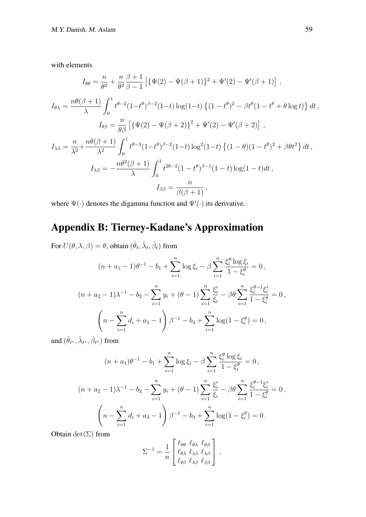with elements

$$
I_{\theta\theta} = \frac{n}{\theta^2} + \frac{n}{\theta^2} \frac{\beta + 1}{\beta - 1} \left[ \{ \Psi(2) - \Psi(\beta + 1) \}^2 + \Psi'(2) - \Psi'(\beta + 1) \right],
$$
  
\n
$$
I_{\theta\lambda} = \frac{n\theta(\beta + 1)}{\lambda} \int_0^1 t^{\theta - 2} (1 - t^{\theta})^{\beta - 2} (1 - t) \log(1 - t) \left\{ (1 - t^{\theta})^2 - \beta t^{\theta} (1 - t^{\theta} + \theta \log t) \right\} dt,
$$
  
\n
$$
I_{\theta\beta} = \frac{n}{\theta\beta} \left[ \{ \Psi(2) - \Psi(\beta + 2) \}^2 + \Psi'(2) - \Psi'(\beta + 2) \right],
$$
  
\n
$$
I_{\lambda\lambda} = \frac{n}{\lambda^2} + \frac{n\theta(\beta + 1)}{\lambda^2} \int_0^1 t^{\theta - 3} (1 - t^{\theta})^{\beta - 2} (1 - t) \log^2(1 - t) \left\{ (1 - \theta)(1 - t^{\theta})^2 + \beta \theta t^2 \right\} dt,
$$
  
\n
$$
I_{\lambda\beta} = -\frac{n\theta^2(\beta + 1)}{\lambda} \int_0^1 t^{2\theta - 2} (1 - t^{\theta})^{\beta - 1} (1 - t) \log(1 - t) dt,
$$
  
\n
$$
I_{\beta\beta} = \frac{n}{\beta(\beta + 1)},
$$

where Ψ(*·*) denotes the digamma function and Ψ*′* (*·*) its derivative.

# Appendix B: Tierney-Kadane's Approximation

For  $U(\theta, \lambda, \beta) = \theta$ , obtain  $(\hat{\theta}_{\ell}, \hat{\lambda}_{\ell}, \hat{\beta}_{\ell})$  from

$$
(n + a_1 - 1)\theta^{-1} - b_1 + \sum_{i=1}^n \log \xi_i - \beta \sum_{i=1}^n \frac{\xi_i^{\theta} \log \xi_i}{1 - \xi_i^{\theta}} = 0,
$$
  

$$
(n + a_2 - 1)\lambda^{-1} - b_2 - \sum_{i=1}^n y_i + (\theta - 1) \sum_{i=1}^n \frac{\xi_i'}{\xi_i} - \beta \theta \sum_{i=1}^n \frac{\xi_i^{\theta - 1} \xi_i'}{1 - \xi_i^{\theta}} = 0,
$$
  

$$
\left(n - \sum_{i=1}^n d_i + a_3 - 1\right) \beta^{-1} - b_3 + \sum_{i=1}^n \log(1 - \xi_i^{\theta}) = 0,
$$

and  $(\hat{\theta}_{\ell^*}, \hat{\lambda}_{\ell^*}, \hat{\beta}_{\ell^*})$  from

$$
(n+a_1)\theta^{-1} - b_1 + \sum_{i=1}^n \log \xi_i - \beta \sum_{i=1}^n \frac{\xi_i^{\theta} \log \xi_i}{1 - \xi_i^{\theta}} = 0,
$$
  

$$
(n+a_2-1)\lambda^{-1} - b_2 - \sum_{i=1}^n y_i + (\theta - 1) \sum_{i=1}^n \frac{\xi_i'}{\xi_i} - \beta \theta \sum_{i=1}^n \frac{\xi_i^{\theta-1} \xi_i'}{1 - \xi_i^{\theta}} = 0,
$$
  

$$
\left(n - \sum_{i=1}^n d_i + a_3 - 1\right)\beta^{-1} - b_3 + \sum_{i=1}^n \log(1 - \xi_i^{\theta}) = 0.
$$

Obtain  $\det(\Sigma)$  from

$$
\Sigma^{-1} = \frac{1}{n} \begin{bmatrix} \ell_{\theta\theta} & \ell_{\theta\lambda} & \ell_{\theta\beta} \\ \ell_{\theta\lambda} & \ell_{\lambda\lambda} & \ell_{\lambda\beta} \\ \ell_{\theta\beta} & \ell_{\lambda\beta} & \ell_{\beta\beta} \end{bmatrix},
$$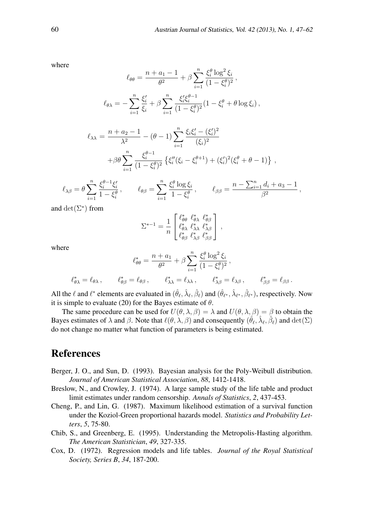where

$$
\ell_{\theta\theta} = \frac{n + a_1 - 1}{\theta^2} + \beta \sum_{i=1}^n \frac{\xi_i^{\theta} \log^2 \xi_i}{(1 - \xi_i^{\theta})^2},
$$

$$
\ell_{\theta\lambda} = -\sum_{i=1}^n \frac{\xi_i'}{\xi_i} + \beta \sum_{i=1}^n \frac{\xi_i' \xi_i^{\theta - 1}}{(1 - \xi_i^{\theta})^2} (1 - \xi_i^{\theta} + \theta \log \xi_i),
$$

$$
\ell_{\lambda\lambda} = \frac{n + a_2 - 1}{\lambda^2} - (\theta - 1) \sum_{i=1}^n \frac{\xi_i \xi_i' - (\xi_i')^2}{(\xi_i)^2} + \beta \theta \sum_{i=1}^n \frac{\xi_i^{\theta - 1}}{(1 - \xi_i^{\theta})^2} \left\{ \xi_i''(\xi_i - \xi_i^{\theta + 1}) + (\xi_i')^2(\xi_i^{\theta} + \theta - 1) \right\},
$$

$$
\ell_{\lambda\beta} = \theta \sum_{i=1}^n \frac{\xi_i^{\theta-1} \xi_i'}{1 - \xi_i^{\theta}}, \qquad \ell_{\theta\beta} = \sum_{i=1}^n \frac{\xi_i^{\theta} \log \xi_i}{1 - \xi_i^{\theta}}, \qquad \ell_{\beta\beta} = \frac{n - \sum_{i=1}^n d_i + a_3 - 1}{\beta^2},
$$

and  $\det(\Sigma^*)$  from

$$
\Sigma^{*-1} = \frac{1}{n} \begin{bmatrix} \ell^*_{\theta\theta} & \ell^*_{\theta\lambda} & \ell^*_{\theta\beta} \\ \ell^*_{\theta\lambda} & \ell^*_{\lambda\lambda} & \ell^*_{\lambda\beta} \\ \ell^*_{\theta\beta} & \ell^*_{\lambda\beta} & \ell^*_{\beta\beta} \end{bmatrix},
$$

where

$$
\ell_{\theta\theta}^* = \frac{n + a_1}{\theta^2} + \beta \sum_{i=1}^n \frac{\xi_i^{\theta} \log^2 \xi_i}{(1 - \xi_i^{\theta})^2},
$$
  

$$
\ell_{\theta\lambda}^* = \ell_{\theta\lambda}, \qquad \ell_{\theta\beta}^* = \ell_{\theta\beta}, \qquad \ell_{\lambda\lambda}^* = \ell_{\lambda\lambda}, \qquad \ell_{\lambda\beta}^* = \ell_{\lambda\beta}, \qquad \ell_{\beta\beta}^* = \ell_{\beta\beta}.
$$

All the  $\ell$  and  $\ell^*$  elements are evaluated in  $(\hat{\theta}_{\ell}, \hat{\lambda}_{\ell}, \hat{\beta}_{\ell})$  and  $(\hat{\theta}_{\ell^*}, \hat{\lambda}_{\ell^*}, \hat{\beta}_{\ell^*})$ , respectively. Now it is simple to evaluate (20) for the Bayes estimate of *θ*.

The same procedure can be used for  $U(\theta, \lambda, \beta) = \lambda$  and  $U(\theta, \lambda, \beta) = \beta$  to obtain the Bayes estimates of  $\lambda$  and  $\beta$ . Note that  $\ell(\theta, \lambda, \beta)$  and consequently  $(\hat{\theta}_\ell, \hat{\lambda}_\ell, \hat{\beta}_\ell)$  and  $\det(\Sigma)$ do not change no matter what function of parameters is being estimated.

### References

- Berger, J. O., and Sun, D. (1993). Bayesian analysis for the Poly-Weibull distribution. *Journal of American Statistical Association*, *88*, 1412-1418.
- Breslow, N., and Crowley, J. (1974). A large sample study of the life table and product limit estimates under random censorship. *Annals of Statistics*, *2*, 437-453.
- Cheng, P., and Lin, G. (1987). Maximum likelihood estimation of a survival function under the Koziol-Green proportional hazards model. *Statistics and Probability Letters*, *5*, 75-80.
- Chib, S., and Greenberg, E. (1995). Understanding the Metropolis-Hasting algorithm. *The American Statistician*, *49*, 327-335.
- Cox, D. (1972). Regression models and life tables. *Journal of the Royal Statistical Society, Series B*, *34*, 187-200.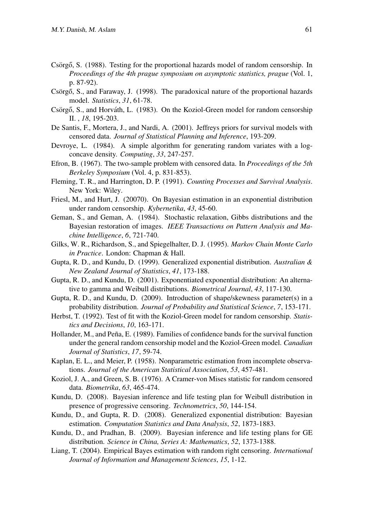- Csörgő, S. (1988). Testing for the proportional hazards model of random censorship. In *Proceedings of the 4th prague symposium on asymptotic statistics, prague* (Vol. 1, p. 87-92).
- Csörgő, S., and Faraway, J. (1998). The paradoxical nature of the proportional hazards model. *Statistics*, *31*, 61-78.
- Csörgő, S., and Horváth, L. (1983). On the Koziol-Green model for random censorship II. , *18*, 195-203.
- De Santis, F., Mortera, J., and Nardi, A. (2001). Jeffreys priors for survival models with censored data. *Journal of Statistical Planning and Inference*, 193-209.
- Devroye, L. (1984). A simple algorithm for generating random variates with a logconcave density. *Computing*, *33*, 247-257.
- Efron, B. (1967). The two-sample problem with censored data. In *Proceedings of the 5th Berkeley Symposium* (Vol. 4, p. 831-853).
- Fleming, T. R., and Harrington, D. P. (1991). *Counting Processes and Survival Analysis*. New York: Wiley.
- Friesl, M., and Hurt, J. (20070). On Bayesian estimation in an exponential distribution under random censorship. *Kybernetika*, *43*, 45-60.
- Geman, S., and Geman, A. (1984). Stochastic relaxation, Gibbs distributions and the Bayesian restoration of images. *IEEE Transactions on Pattern Analysis and Machine Intelligence*, *6*, 721-740.
- Gilks, W. R., Richardson, S., and Spiegelhalter, D. J. (1995). *Markov Chain Monte Carlo in Practice*. London: Chapman & Hall.
- Gupta, R. D., and Kundu, D. (1999). Generalized exponential distribution. *Australian & New Zealand Journal of Statistics*, *41*, 173-188.
- Gupta, R. D., and Kundu, D. (2001). Exponentiated exponential distribution: An alternative to gamma and Weibull distributions. *Biometrical Journal*, *43*, 117-130.
- Gupta, R. D., and Kundu, D. (2009). Introduction of shape/skewness parameter(s) in a probability distribution. *Journal of Probability and Statistical Science*, *7*, 153-171.
- Herbst, T. (1992). Test of fit with the Koziol-Green model for random censorship. *Statistics and Decisions*, *10*, 163-171.
- Hollander, M., and Peña, E. (1989). Families of confidence bands for the survival function under the general random censorship model and the Koziol-Green model. *Canadian Journal of Statistics*, *17*, 59-74.
- Kaplan, E. L., and Meier, P. (1958). Nonparametric estimation from incomplete observations. *Journal of the American Statistical Association*, *53*, 457-481.
- Koziol, J. A., and Green, S. B. (1976). A Cramer-von Mises statistic for random censored data. *Biometrika*, *63*, 465-474.
- Kundu, D. (2008). Bayesian inference and life testing plan for Weibull distribution in presence of progressive censoring. *Technometrics*, *50*, 144-154.
- Kundu, D., and Gupta, R. D. (2008). Generalized exponential distribution: Bayesian estimation. *Computation Statistics and Data Analysis*, *52*, 1873-1883.
- Kundu, D., and Pradhan, B. (2009). Bayesian inference and life testing plans for GE distribution. *Science in China, Series A: Mathematics*, *52*, 1373-1388.
- Liang, T. (2004). Empirical Bayes estimation with random right censoring. *International Journal of Information and Management Sciences*, *15*, 1-12.